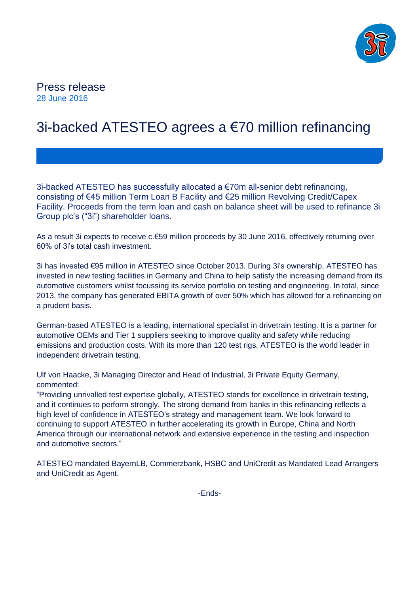

# Press release 28 June 2016

# 3i-backed ATESTEO agrees a €70 million refinancing

3i-backed ATESTEO has successfully allocated a €70m all-senior debt refinancing, consisting of €45 million Term Loan B Facility and €25 million Revolving Credit/Capex Facility. Proceeds from the term loan and cash on balance sheet will be used to refinance 3i Group plc's ("3i") shareholder loans.

As a result 3i expects to receive c.€59 million proceeds by 30 June 2016, effectively returning over 60% of 3i's total cash investment.

3i has invested €95 million in ATESTEO since October 2013. During 3i's ownership, ATESTEO has invested in new testing facilities in Germany and China to help satisfy the increasing demand from its automotive customers whilst focussing its service portfolio on testing and engineering. In total, since 2013, the company has generated EBITA growth of over 50% which has allowed for a refinancing on a prudent basis.

German-based ATESTEO is a leading, international specialist in drivetrain testing. It is a partner for automotive OEMs and Tier 1 suppliers seeking to improve quality and safety while reducing emissions and production costs. With its more than 120 test rigs, ATESTEO is the world leader in independent drivetrain testing.

Ulf von Haacke, 3i Managing Director and Head of Industrial, 3i Private Equity Germany, commented:

"Providing unrivalled test expertise globally, ATESTEO stands for excellence in drivetrain testing, and it continues to perform strongly. The strong demand from banks in this refinancing reflects a high level of confidence in ATESTEO's strategy and management team. We look forward to continuing to support ATESTEO in further accelerating its growth in Europe, China and North America through our international network and extensive experience in the testing and inspection and automotive sectors."

ATESTEO mandated BayernLB, Commerzbank, HSBC and UniCredit as Mandated Lead Arrangers and UniCredit as Agent.

-Ends-